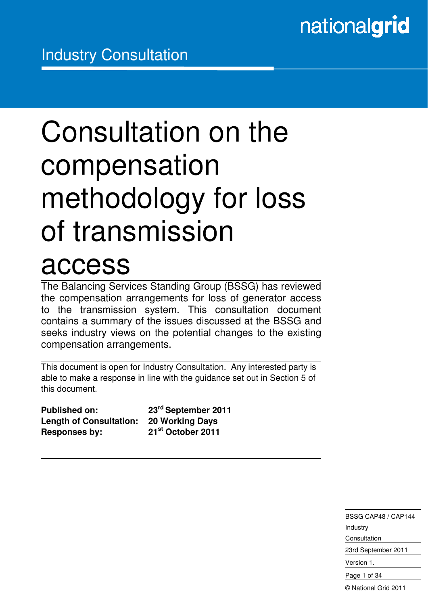# Consultation on the compensation methodology for loss of transmission

## access

Ξ

The Balancing Services Standing Group (BSSG) has reviewed the compensation arrangements for loss of generator access to the transmission system. This consultation document contains a summary of the issues discussed at the BSSG and seeks industry views on the potential changes to the existing compensation arrangements.

This document is open for Industry Consultation. Any interested party is able to make a response in line with the guidance set out in Section 5 of this document.

| <b>Published on:</b>           | 23 <sup>rd</sup> September 2011 |
|--------------------------------|---------------------------------|
| <b>Length of Consultation:</b> | <b>20 Working Days</b>          |
| <b>Responses by:</b>           | 21 <sup>st</sup> October 2011   |

BSSG CAP48 / CAP144 Industry **Consultation** 23rd September 2011

Version 1.

Page 1 of 34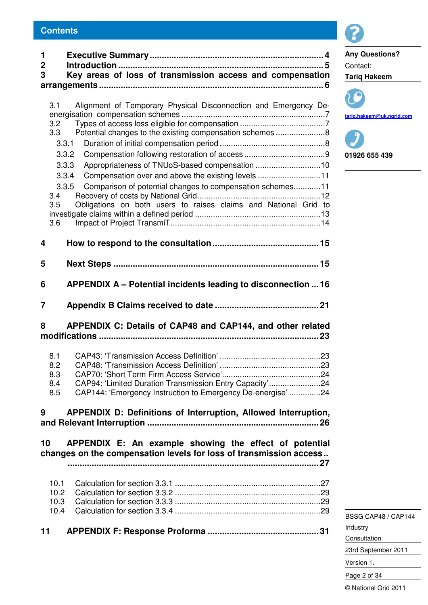| 1           |                                                                    | <b>Any Questions?</b>             |
|-------------|--------------------------------------------------------------------|-----------------------------------|
| $\mathbf 2$ |                                                                    | Contact:                          |
| 3           | Key areas of loss of transmission access and compensation          | <b>Tariq Hakeem</b>               |
|             |                                                                    |                                   |
|             |                                                                    |                                   |
| 3.1         | Alignment of Temporary Physical Disconnection and Emergency De-    |                                   |
|             |                                                                    | tarig.hakeem@uk.ngrid             |
| 3.2<br>3.3  | Potential changes to the existing compensation schemes 8           |                                   |
|             | 3.3.1                                                              |                                   |
|             | 3.3.2                                                              | 01926 655 439                     |
|             | 3.3.3                                                              |                                   |
|             | Compensation over and above the existing levels 11<br>3.3.4        | the control of the control of the |
|             | Comparison of potential changes to compensation schemes11<br>3.3.5 |                                   |
| 3.4         |                                                                    |                                   |
| 3.5         | Obligations on both users to raises claims and National Grid to    |                                   |
|             |                                                                    |                                   |
| 3.6         |                                                                    |                                   |
|             |                                                                    |                                   |
| 4           |                                                                    |                                   |
|             |                                                                    |                                   |
| 5           |                                                                    |                                   |
|             |                                                                    |                                   |
| 6           | APPENDIX A - Potential incidents leading to disconnection  16      |                                   |
|             |                                                                    |                                   |
| 7           |                                                                    |                                   |
| 8           | APPENDIX C: Details of CAP48 and CAP144, and other related         |                                   |
|             |                                                                    |                                   |
|             |                                                                    |                                   |
| 8.1         |                                                                    |                                   |
| 8.2         |                                                                    |                                   |
| 8.3         |                                                                    |                                   |
| 8.4         | CAP94: 'Limited Duration Transmission Entry Capacity'24            |                                   |
| 8.5         | CAP144: 'Emergency Instruction to Emergency De-energise'24         |                                   |
|             |                                                                    |                                   |
| 9           | APPENDIX D: Definitions of Interruption, Allowed Interruption,     |                                   |
|             |                                                                    |                                   |
|             |                                                                    |                                   |
| 10          | APPENDIX E: An example showing the effect of potential             |                                   |
|             | changes on the compensation levels for loss of transmission access |                                   |
|             |                                                                    |                                   |
| 10.1        |                                                                    |                                   |
| 10.2        |                                                                    |                                   |
| 10.3        |                                                                    |                                   |
| 10.4        |                                                                    |                                   |
|             |                                                                    | <b>BSSG CAP48 / CAI</b>           |
| 11          |                                                                    | Industry                          |
|             |                                                                    | Consultation                      |



**tariq.hakeem@uk.ngrid.com**

BSSG CAP48 / CAP144 Industry Consultation 23rd September 2011 Version 1. Page 2 of 34 © National Grid 2011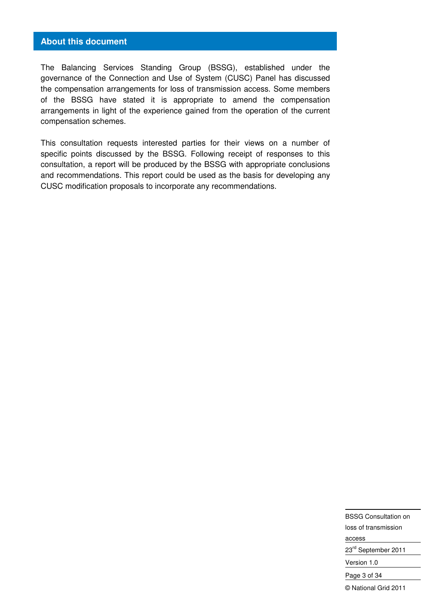#### **About this document**

The Balancing Services Standing Group (BSSG), established under the governance of the Connection and Use of System (CUSC) Panel has discussed the compensation arrangements for loss of transmission access. Some members of the BSSG have stated it is appropriate to amend the compensation arrangements in light of the experience gained from the operation of the current compensation schemes.

This consultation requests interested parties for their views on a number of specific points discussed by the BSSG. Following receipt of responses to this consultation, a report will be produced by the BSSG with appropriate conclusions and recommendations. This report could be used as the basis for developing any CUSC modification proposals to incorporate any recommendations.

> BSSG Consultation on loss of transmission access 23rd September 2011 Version 1.0 Page 3 of 34 © National Grid 2011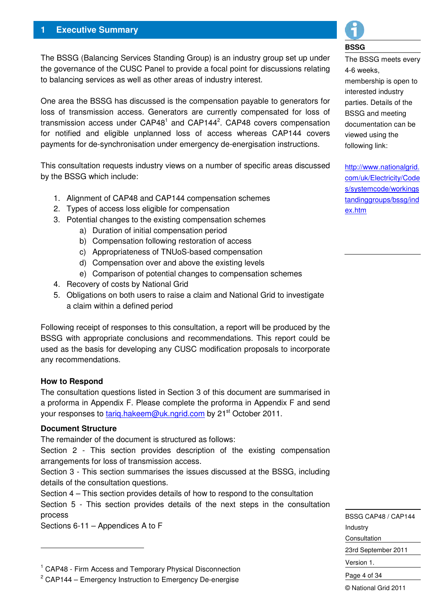## **1 Executive Summary**

The BSSG (Balancing Services Standing Group) is an industry group set up under the governance of the CUSC Panel to provide a focal point for discussions relating to balancing services as well as other areas of industry interest.

One area the BSSG has discussed is the compensation payable to generators for loss of transmission access. Generators are currently compensated for loss of transmission access under  $CAP48<sup>1</sup>$  and  $CAP144<sup>2</sup>$ . CAP48 covers compensation for notified and eligible unplanned loss of access whereas CAP144 covers payments for de-synchronisation under emergency de-energisation instructions.

This consultation requests industry views on a number of specific areas discussed by the BSSG which include:

- 1. Alignment of CAP48 and CAP144 compensation schemes
- 2. Types of access loss eligible for compensation
- 3. Potential changes to the existing compensation schemes
	- a) Duration of initial compensation period
	- b) Compensation following restoration of access
	- c) Appropriateness of TNUoS-based compensation
	- d) Compensation over and above the existing levels
	- e) Comparison of potential changes to compensation schemes
- 4. Recovery of costs by National Grid
- 5. Obligations on both users to raise a claim and National Grid to investigate a claim within a defined period

Following receipt of responses to this consultation, a report will be produced by the BSSG with appropriate conclusions and recommendations. This report could be used as the basis for developing any CUSC modification proposals to incorporate any recommendations.

#### **How to Respond**

The consultation questions listed in Section 3 of this document are summarised in a proforma in Appendix F. Please complete the proforma in Appendix F and send your responses to tarig.hakeem@uk.ngrid.com by 21<sup>st</sup> October 2011.

#### **Document Structure**

-

The remainder of the document is structured as follows:

Section 2 - This section provides description of the existing compensation arrangements for loss of transmission access.

Section 3 - This section summarises the issues discussed at the BSSG, including details of the consultation questions.

Section 4 – This section provides details of how to respond to the consultation Section 5 - This section provides details of the next steps in the consultation process

Sections 6-11 – Appendices A to F



#### **BSSG**

The BSSG meets every 4-6 weeks, membership is open to interested industry parties. Details of the BSSG and meeting documentation can be viewed using the following link:

http://www.nationalgrid. com/uk/Electricity/Code s/systemcode/workings tandinggroups/bssg/ind ex.htm

BSSG CAP48 / CAP144 Industry Consultation 23rd September 2011 Version 1. Page 4 of 34

<sup>&</sup>lt;sup>1</sup> CAP48 - Firm Access and Temporary Physical Disconnection

 $2$  CAP144 – Emergency Instruction to Emergency De-energise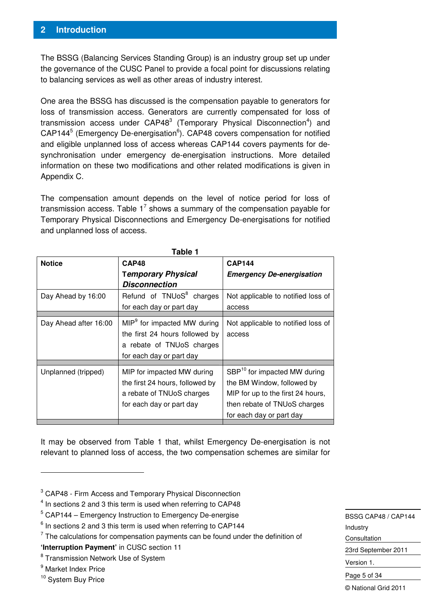The BSSG (Balancing Services Standing Group) is an industry group set up under the governance of the CUSC Panel to provide a focal point for discussions relating to balancing services as well as other areas of industry interest.

One area the BSSG has discussed is the compensation payable to generators for loss of transmission access. Generators are currently compensated for loss of transmission access under  $CAP48<sup>3</sup>$  (Temporary Physical Disconnection<sup>4</sup>) and  $CAP144<sup>5</sup>$  (Emergency De-energisation $<sup>6</sup>$ ). CAP48 covers compensation for notified</sup> and eligible unplanned loss of access whereas CAP144 covers payments for desynchronisation under emergency de-energisation instructions. More detailed information on these two modifications and other related modifications is given in Appendix C.

The compensation amount depends on the level of notice period for loss of transmission access. Table  $1^7$  shows a summary of the compensation payable for Temporary Physical Disconnections and Emergency De-energisations for notified and unplanned loss of access.

|                       | Table 1                                 |                                          |
|-----------------------|-----------------------------------------|------------------------------------------|
| <b>Notice</b>         | CAP48                                   | <b>CAP144</b>                            |
|                       | <b>Temporary Physical</b>               | <b>Emergency De-energisation</b>         |
|                       | Disconnection                           |                                          |
| Day Ahead by 16:00    | Refund of TNUoS <sup>8</sup> charges    | Not applicable to notified loss of       |
|                       | for each day or part day                | access                                   |
|                       |                                         |                                          |
| Day Ahead after 16:00 | MIP <sup>9</sup> for impacted MW during | Not applicable to notified loss of       |
|                       | the first 24 hours followed by          | access                                   |
|                       | a rebate of TNUoS charges               |                                          |
|                       | for each day or part day                |                                          |
|                       |                                         |                                          |
| Unplanned (tripped)   | MIP for impacted MW during              | SBP <sup>10</sup> for impacted MW during |
|                       | the first 24 hours, followed by         | the BM Window, followed by               |
|                       | a rebate of TNUoS charges               | MIP for up to the first 24 hours,        |
|                       | for each day or part day                | then rebate of TNUoS charges             |
|                       |                                         | for each day or part day                 |

It may be observed from Table 1 that, whilst Emergency De-energisation is not relevant to planned loss of access, the two compensation schemes are similar for

-

BSSG CAP48 / CAP144 Industry Consultation 23rd September 2011 Version 1. Page 5 of 34 © National Grid 2011

<sup>&</sup>lt;sup>3</sup> CAP48 - Firm Access and Temporary Physical Disconnection

 $4$  In sections 2 and 3 this term is used when referring to CAP48

<sup>&</sup>lt;sup>5</sup> CAP144 – Emergency Instruction to Emergency De-energise

 $6$  In sections 2 and 3 this term is used when referring to CAP144

 $<sup>7</sup>$  The calculations for compensation payments can be found under the definition of</sup> **'Interruption Payment'** in CUSC section 11

<sup>&</sup>lt;sup>8</sup> Transmission Network Use of System

<sup>&</sup>lt;sup>9</sup> Market Index Price

<sup>&</sup>lt;sup>10</sup> System Buy Price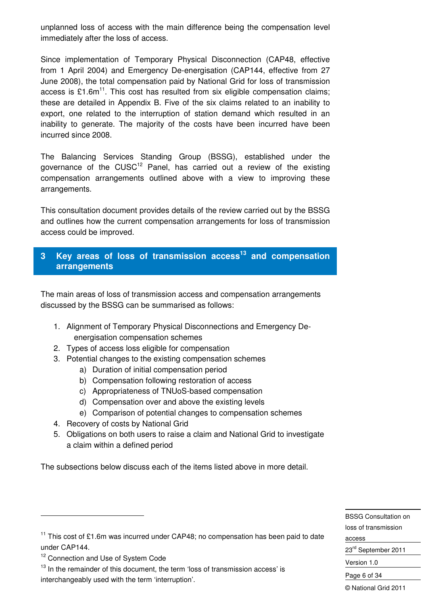unplanned loss of access with the main difference being the compensation level immediately after the loss of access.

Since implementation of Temporary Physical Disconnection (CAP48, effective from 1 April 2004) and Emergency De-energisation (CAP144, effective from 27 June 2008), the total compensation paid by National Grid for loss of transmission access is £1.6 $m<sup>11</sup>$ . This cost has resulted from six eligible compensation claims; these are detailed in Appendix B. Five of the six claims related to an inability to export, one related to the interruption of station demand which resulted in an inability to generate. The majority of the costs have been incurred have been incurred since 2008.

The Balancing Services Standing Group (BSSG), established under the governance of the  $CUSC^{12}$  Panel, has carried out a review of the existing compensation arrangements outlined above with a view to improving these arrangements.

This consultation document provides details of the review carried out by the BSSG and outlines how the current compensation arrangements for loss of transmission access could be improved.

## **3 Key areas of loss of transmission access<sup>13</sup> and compensation arrangements**

The main areas of loss of transmission access and compensation arrangements discussed by the BSSG can be summarised as follows:

- 1. Alignment of Temporary Physical Disconnections and Emergency Deenergisation compensation schemes
- 2. Types of access loss eligible for compensation
- 3. Potential changes to the existing compensation schemes
	- a) Duration of initial compensation period
	- b) Compensation following restoration of access
	- c) Appropriateness of TNUoS-based compensation
	- d) Compensation over and above the existing levels
	- e) Comparison of potential changes to compensation schemes
- 4. Recovery of costs by National Grid
- 5. Obligations on both users to raise a claim and National Grid to investigate a claim within a defined period

The subsections below discuss each of the items listed above in more detail.

BSSG Consultation on loss of transmission access 23rd September 2011 Version 1.0 Page 6 of 34 © National Grid 2011

-

 $11$  This cost of £1.6m was incurred under CAP48; no compensation has been paid to date under CAP144.

<sup>&</sup>lt;sup>12</sup> Connection and Use of System Code

<sup>&</sup>lt;sup>13</sup> In the remainder of this document, the term 'loss of transmission access' is interchangeably used with the term 'interruption'.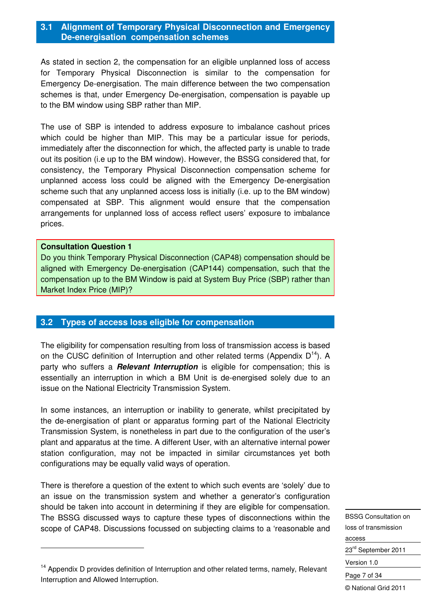#### **3.1 Alignment of Temporary Physical Disconnection and Emergency De-energisation compensation schemes**

As stated in section 2, the compensation for an eligible unplanned loss of access for Temporary Physical Disconnection is similar to the compensation for Emergency De-energisation. The main difference between the two compensation schemes is that, under Emergency De-energisation, compensation is payable up to the BM window using SBP rather than MIP.

The use of SBP is intended to address exposure to imbalance cashout prices which could be higher than MIP. This may be a particular issue for periods, immediately after the disconnection for which, the affected party is unable to trade out its position (i.e up to the BM window). However, the BSSG considered that, for consistency, the Temporary Physical Disconnection compensation scheme for unplanned access loss could be aligned with the Emergency De-energisation scheme such that any unplanned access loss is initially (i.e. up to the BM window) compensated at SBP. This alignment would ensure that the compensation arrangements for unplanned loss of access reflect users' exposure to imbalance prices.

#### **Consultation Question 1**

-

Do you think Temporary Physical Disconnection (CAP48) compensation should be aligned with Emergency De-energisation (CAP144) compensation, such that the compensation up to the BM Window is paid at System Buy Price (SBP) rather than Market Index Price (MIP)?

#### **3.2 Types of access loss eligible for compensation**

The eligibility for compensation resulting from loss of transmission access is based on the CUSC definition of Interruption and other related terms (Appendix  $D^{14}$ ). A party who suffers a **Relevant Interruption** is eligible for compensation; this is essentially an interruption in which a BM Unit is de-energised solely due to an issue on the National Electricity Transmission System.

In some instances, an interruption or inability to generate, whilst precipitated by the de-energisation of plant or apparatus forming part of the National Electricity Transmission System, is nonetheless in part due to the configuration of the user's plant and apparatus at the time. A different User, with an alternative internal power station configuration, may not be impacted in similar circumstances yet both configurations may be equally valid ways of operation.

There is therefore a question of the extent to which such events are 'solely' due to an issue on the transmission system and whether a generator's configuration should be taken into account in determining if they are eligible for compensation. The BSSG discussed ways to capture these types of disconnections within the scope of CAP48. Discussions focussed on subjecting claims to a 'reasonable and

BSSG Consultation on loss of transmission access 23<sup>rd</sup> September 2011 Version 1.0 Page 7 of 34 © National Grid 2011

 $14$  Appendix D provides definition of Interruption and other related terms, namely, Relevant Interruption and Allowed Interruption.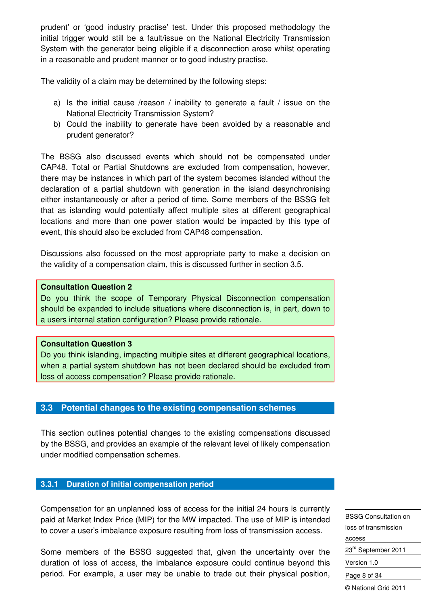prudent' or 'good industry practise' test. Under this proposed methodology the initial trigger would still be a fault/issue on the National Electricity Transmission System with the generator being eligible if a disconnection arose whilst operating in a reasonable and prudent manner or to good industry practise.

The validity of a claim may be determined by the following steps:

- a) Is the initial cause /reason / inability to generate a fault / issue on the National Electricity Transmission System?
- b) Could the inability to generate have been avoided by a reasonable and prudent generator?

The BSSG also discussed events which should not be compensated under CAP48. Total or Partial Shutdowns are excluded from compensation, however, there may be instances in which part of the system becomes islanded without the declaration of a partial shutdown with generation in the island desynchronising either instantaneously or after a period of time. Some members of the BSSG felt that as islanding would potentially affect multiple sites at different geographical locations and more than one power station would be impacted by this type of event, this should also be excluded from CAP48 compensation.

Discussions also focussed on the most appropriate party to make a decision on the validity of a compensation claim, this is discussed further in section 3.5.

#### **Consultation Question 2**

Do you think the scope of Temporary Physical Disconnection compensation should be expanded to include situations where disconnection is, in part, down to a users internal station configuration? Please provide rationale.

#### **Consultation Question 3**

Do you think islanding, impacting multiple sites at different geographical locations, when a partial system shutdown has not been declared should be excluded from loss of access compensation? Please provide rationale.

#### **3.3 Potential changes to the existing compensation schemes**

This section outlines potential changes to the existing compensations discussed by the BSSG, and provides an example of the relevant level of likely compensation under modified compensation schemes.

#### **3.3.1 Duration of initial compensation period**

Compensation for an unplanned loss of access for the initial 24 hours is currently paid at Market Index Price (MIP) for the MW impacted. The use of MIP is intended to cover a user's imbalance exposure resulting from loss of transmission access.

Some members of the BSSG suggested that, given the uncertainty over the duration of loss of access, the imbalance exposure could continue beyond this period. For example, a user may be unable to trade out their physical position,

BSSG Consultation on loss of transmission access 23<sup>rd</sup> September 2011 Version 1.0 Page 8 of 34 © National Grid 2011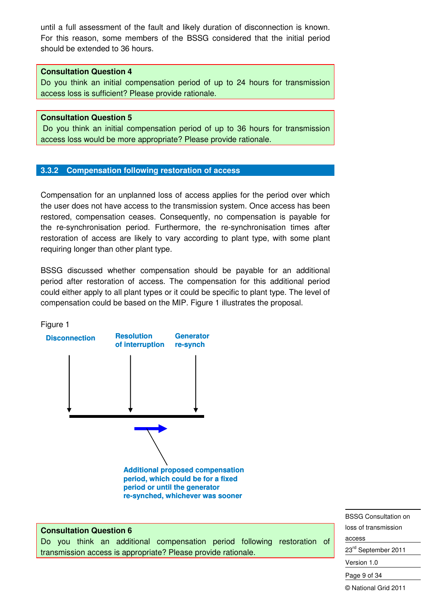until a full assessment of the fault and likely duration of disconnection is known. For this reason, some members of the BSSG considered that the initial period should be extended to 36 hours.

#### **Consultation Question 4**

Do you think an initial compensation period of up to 24 hours for transmission access loss is sufficient? Please provide rationale.

#### **Consultation Question 5**

 Do you think an initial compensation period of up to 36 hours for transmission access loss would be more appropriate? Please provide rationale.

## **3.3.2 Compensation following restoration of access**

Compensation for an unplanned loss of access applies for the period over which the user does not have access to the transmission system. Once access has been restored, compensation ceases. Consequently, no compensation is payable for the re-synchronisation period. Furthermore, the re-synchronisation times after restoration of access are likely to vary according to plant type, with some plant requiring longer than other plant type.

BSSG discussed whether compensation should be payable for an additional period after restoration of access. The compensation for this additional period could either apply to all plant types or it could be specific to plant type. The level of compensation could be based on the MIP. Figure 1 illustrates the proposal.





#### **Consultation Question 6**

Do you think an additional compensation period following restoration of transmission access is appropriate? Please provide rationale.

BSSG Consultation on loss of transmission access

23<sup>rd</sup> September 2011

Version 1.0

Page 9 of 34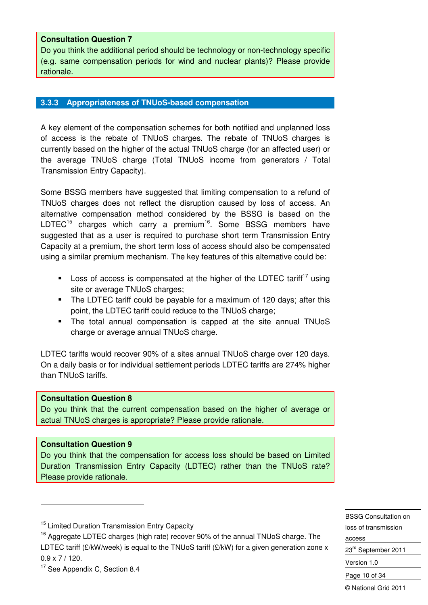#### **Consultation Question 7**

Do you think the additional period should be technology or non-technology specific (e.g. same compensation periods for wind and nuclear plants)? Please provide rationale.

#### **3.3.3 Appropriateness of TNUoS-based compensation**

A key element of the compensation schemes for both notified and unplanned loss of access is the rebate of TNUoS charges. The rebate of TNUoS charges is currently based on the higher of the actual TNUoS charge (for an affected user) or the average TNUoS charge (Total TNUoS income from generators / Total Transmission Entry Capacity).

Some BSSG members have suggested that limiting compensation to a refund of TNUoS charges does not reflect the disruption caused by loss of access. An alternative compensation method considered by the BSSG is based on the LDTEC<sup>15</sup> charges which carry a premium<sup>16</sup>. Some BSSG members have suggested that as a user is required to purchase short term Transmission Entry Capacity at a premium, the short term loss of access should also be compensated using a similar premium mechanism. The key features of this alternative could be:

- Loss of access is compensated at the higher of the LDTEC tariff<sup>17</sup> using site or average TNUoS charges;
- The LDTEC tariff could be payable for a maximum of 120 days; after this point, the LDTEC tariff could reduce to the TNUoS charge;
- The total annual compensation is capped at the site annual TNUoS charge or average annual TNUoS charge.

LDTEC tariffs would recover 90% of a sites annual TNUoS charge over 120 days. On a daily basis or for individual settlement periods LDTEC tariffs are 274% higher than TNUoS tariffs.

#### **Consultation Question 8**

Do you think that the current compensation based on the higher of average or actual TNUoS charges is appropriate? Please provide rationale.

#### **Consultation Question 9**

-

Do you think that the compensation for access loss should be based on Limited Duration Transmission Entry Capacity (LDTEC) rather than the TNUoS rate? Please provide rationale.

BSSG Consultation on loss of transmission access 23<sup>rd</sup> September 2011 Version 1.0 Page 10 of 34

<sup>&</sup>lt;sup>15</sup> Limited Duration Transmission Entry Capacity

<sup>&</sup>lt;sup>16</sup> Aggregate LDTEC charges (high rate) recover 90% of the annual TNUoS charge. The LDTEC tariff (£/kW/week) is equal to the TNUoS tariff (£/kW) for a given generation zone x 0.9 x 7 / 120.

<sup>&</sup>lt;sup>17</sup> See Appendix C, Section 8.4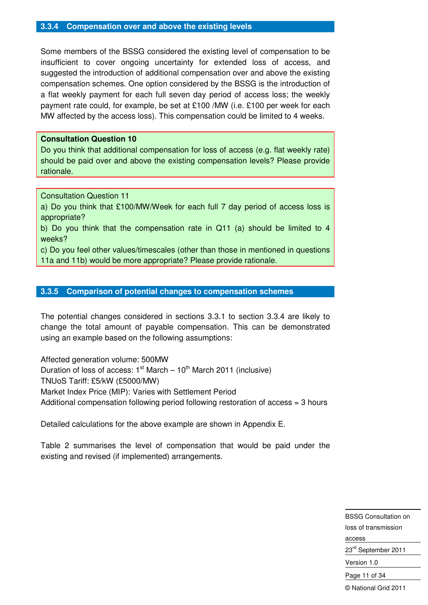#### **3.3.4 Compensation over and above the existing levels**

Some members of the BSSG considered the existing level of compensation to be insufficient to cover ongoing uncertainty for extended loss of access, and suggested the introduction of additional compensation over and above the existing compensation schemes. One option considered by the BSSG is the introduction of a flat weekly payment for each full seven day period of access loss; the weekly payment rate could, for example, be set at £100 /MW (i.e. £100 per week for each MW affected by the access loss). This compensation could be limited to 4 weeks.

#### **Consultation Question 10**

Do you think that additional compensation for loss of access (e.g. flat weekly rate) should be paid over and above the existing compensation levels? Please provide rationale.

Consultation Question 11

a) Do you think that £100/MW/Week for each full 7 day period of access loss is appropriate?

b) Do you think that the compensation rate in Q11 (a) should be limited to 4 weeks?

c) Do you feel other values/timescales (other than those in mentioned in questions 11a and 11b) would be more appropriate? Please provide rationale.

#### **3.3.5 Comparison of potential changes to compensation schemes**

The potential changes considered in sections 3.3.1 to section 3.3.4 are likely to change the total amount of payable compensation. This can be demonstrated using an example based on the following assumptions:

Affected generation volume: 500MW Duration of loss of access:  $1<sup>st</sup> March - 10<sup>th</sup> March 2011$  (inclusive) TNUoS Tariff: £5/kW (£5000/MW) Market Index Price (MIP): Varies with Settlement Period Additional compensation following period following restoration of access = 3 hours

Detailed calculations for the above example are shown in Appendix E.

Table 2 summarises the level of compensation that would be paid under the existing and revised (if implemented) arrangements.

> BSSG Consultation on loss of transmission access 23<sup>rd</sup> September 2011 Version 1.0

Page 11 of 34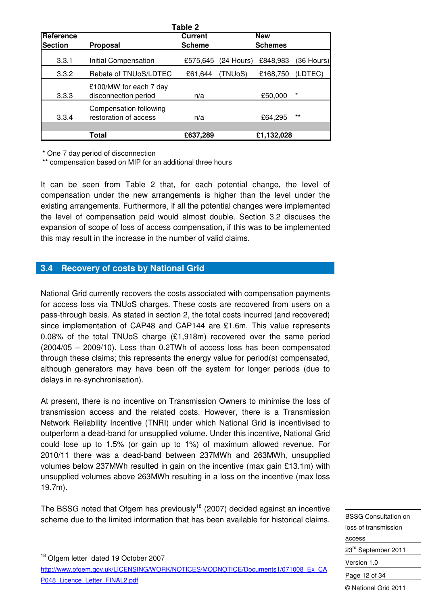|                |                                                 | Table 2        |              |                |            |
|----------------|-------------------------------------------------|----------------|--------------|----------------|------------|
| Reference      |                                                 | <b>Current</b> |              | <b>New</b>     |            |
| <b>Section</b> | Proposal                                        | <b>Scheme</b>  |              | <b>Schemes</b> |            |
| 3.3.1          | Initial Compensation                            | £575,645       | $(24$ Hours) | £848,983       | (36 Hours) |
| 3.3.2          | Rebate of TNUoS/LDTEC                           | £61,644        | (TNUoS)      | £168,750       | (LDTEC)    |
| 3.3.3          | £100/MW for each 7 day<br>disconnection period  | n/a            |              | £50,000        | *          |
| 3.3.4          | Compensation following<br>restoration of access | n/a            |              | £64,295        | $***$      |
|                | Total                                           | £637,289       |              | £1,132,028     |            |

\* One 7 day period of disconnection

-

\*\* compensation based on MIP for an additional three hours

It can be seen from Table 2 that, for each potential change, the level of compensation under the new arrangements is higher than the level under the existing arrangements. Furthermore, if all the potential changes were implemented the level of compensation paid would almost double. Section 3.2 discuses the expansion of scope of loss of access compensation, if this was to be implemented this may result in the increase in the number of valid claims.

## **3.4 Recovery of costs by National Grid**

National Grid currently recovers the costs associated with compensation payments for access loss via TNUoS charges. These costs are recovered from users on a pass-through basis. As stated in section 2, the total costs incurred (and recovered) since implementation of CAP48 and CAP144 are £1.6m. This value represents 0.08% of the total TNUoS charge (£1,918m) recovered over the same period (2004/05 – 2009/10). Less than 0.2TWh of access loss has been compensated through these claims; this represents the energy value for period(s) compensated, although generators may have been off the system for longer periods (due to delays in re-synchronisation).

At present, there is no incentive on Transmission Owners to minimise the loss of transmission access and the related costs. However, there is a Transmission Network Reliability Incentive (TNRI) under which National Grid is incentivised to outperform a dead-band for unsupplied volume. Under this incentive, National Grid could lose up to 1.5% (or gain up to 1%) of maximum allowed revenue. For 2010/11 there was a dead-band between 237MWh and 263MWh, unsupplied volumes below 237MWh resulted in gain on the incentive (max gain £13.1m) with unsupplied volumes above 263MWh resulting in a loss on the incentive (max loss 19.7m).

The BSSG noted that Ofgem has previously<sup>18</sup> (2007) decided against an incentive scheme due to the limited information that has been available for historical claims.

<sup>18</sup> Ofgem letter dated 19 October 2007 http://www.ofgem.gov.uk/LICENSING/WORK/NOTICES/MODNOTICE/Documents1/071008\_Ex\_CA P048\_Licence\_Letter\_FINAL2.pdf

BSSG Consultation on loss of transmission access 23<sup>rd</sup> September 2011 Version 1.0 Page 12 of 34 © National Grid 2011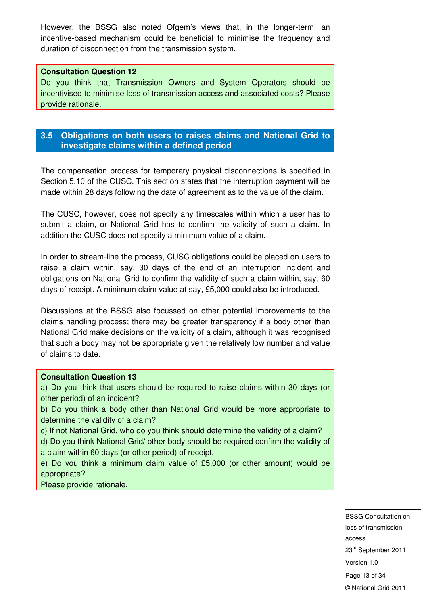However, the BSSG also noted Ofgem's views that, in the longer-term, an incentive-based mechanism could be beneficial to minimise the frequency and duration of disconnection from the transmission system.

#### **Consultation Question 12**

Do you think that Transmission Owners and System Operators should be incentivised to minimise loss of transmission access and associated costs? Please provide rationale.

## **3.5 Obligations on both users to raises claims and National Grid to investigate claims within a defined period**

The compensation process for temporary physical disconnections is specified in Section 5.10 of the CUSC. This section states that the interruption payment will be made within 28 days following the date of agreement as to the value of the claim.

The CUSC, however, does not specify any timescales within which a user has to submit a claim, or National Grid has to confirm the validity of such a claim. In addition the CUSC does not specify a minimum value of a claim.

In order to stream-line the process, CUSC obligations could be placed on users to raise a claim within, say, 30 days of the end of an interruption incident and obligations on National Grid to confirm the validity of such a claim within, say, 60 days of receipt. A minimum claim value at say, £5,000 could also be introduced.

Discussions at the BSSG also focussed on other potential improvements to the claims handling process; there may be greater transparency if a body other than National Grid make decisions on the validity of a claim, although it was recognised that such a body may not be appropriate given the relatively low number and value of claims to date.

#### **Consultation Question 13**

a) Do you think that users should be required to raise claims within 30 days (or other period) of an incident?

b) Do you think a body other than National Grid would be more appropriate to determine the validity of a claim?

c) If not National Grid, who do you think should determine the validity of a claim? d) Do you think National Grid/ other body should be required confirm the validity of

a claim within 60 days (or other period) of receipt.

e) Do you think a minimum claim value of £5,000 (or other amount) would be appropriate?

Please provide rationale.

-

BSSG Consultation on loss of transmission access 23<sup>rd</sup> September 2011 Version 1.0 Page 13 of 34 © National Grid 2011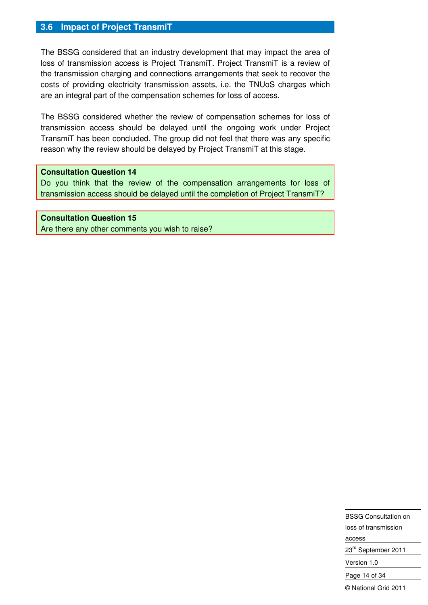#### **3.6 Impact of Project TransmiT**

The BSSG considered that an industry development that may impact the area of loss of transmission access is Project TransmiT. Project TransmiT is a review of the transmission charging and connections arrangements that seek to recover the costs of providing electricity transmission assets, i.e. the TNUoS charges which are an integral part of the compensation schemes for loss of access.

The BSSG considered whether the review of compensation schemes for loss of transmission access should be delayed until the ongoing work under Project TransmiT has been concluded. The group did not feel that there was any specific reason why the review should be delayed by Project TransmiT at this stage.

#### **Consultation Question 14**

Do you think that the review of the compensation arrangements for loss of transmission access should be delayed until the completion of Project TransmiT?

#### **Consultation Question 15**

Are there any other comments you wish to raise?

BSSG Consultation on loss of transmission access 23<sup>rd</sup> September 2011 Version 1.0 Page 14 of 34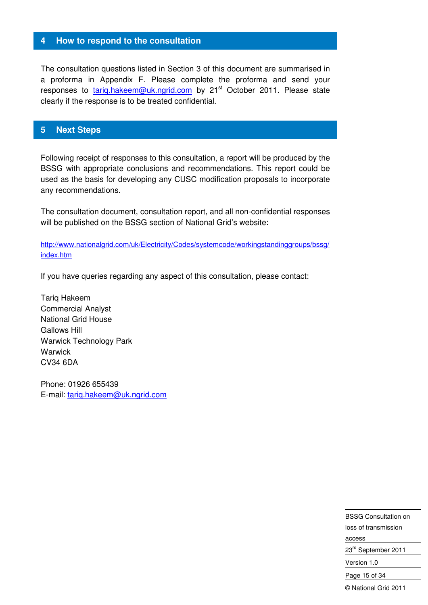#### **4 How to respond to the consultation**

The consultation questions listed in Section 3 of this document are summarised in a proforma in Appendix F. Please complete the proforma and send your responses to tarig.hakeem@uk.ngrid.com by 21<sup>st</sup> October 2011. Please state clearly if the response is to be treated confidential.

#### **5 Next Steps**

Following receipt of responses to this consultation, a report will be produced by the BSSG with appropriate conclusions and recommendations. This report could be used as the basis for developing any CUSC modification proposals to incorporate any recommendations.

The consultation document, consultation report, and all non-confidential responses will be published on the BSSG section of National Grid's website:

http://www.nationalgrid.com/uk/Electricity/Codes/systemcode/workingstandinggroups/bssg/ index.htm

If you have queries regarding any aspect of this consultation, please contact:

Tariq Hakeem Commercial Analyst National Grid House Gallows Hill Warwick Technology Park **Warwick** CV34 6DA

Phone: 01926 655439 E-mail: tariq.hakeem@uk.ngrid.com

> BSSG Consultation on loss of transmission access 23rd September 2011 Version 1.0 Page 15 of 34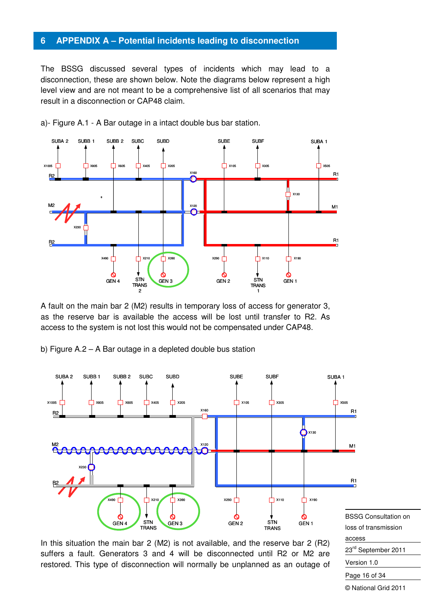#### **6 APPENDIX A – Potential incidents leading to disconnection**

The BSSG discussed several types of incidents which may lead to a disconnection, these are shown below. Note the diagrams below represent a high level view and are not meant to be a comprehensive list of all scenarios that may result in a disconnection or CAP48 claim.



a)- Figure A.1 - A Bar outage in a intact double bus bar station.

A fault on the main bar 2 (M2) results in temporary loss of access for generator 3, as the reserve bar is available the access will be lost until transfer to R2. As access to the system is not lost this would not be compensated under CAP48.

b) Figure A.2 – A Bar outage in a depleted double bus station



In this situation the main bar 2 (M2) is not available, and the reserve bar 2 (R2) suffers a fault. Generators 3 and 4 will be disconnected until R2 or M2 are restored. This type of disconnection will normally be unplanned as an outage of BSSG Consultation on loss of transmission access 23<sup>rd</sup> September 2011 Version 1.0 Page 16 of 34 © National Grid 2011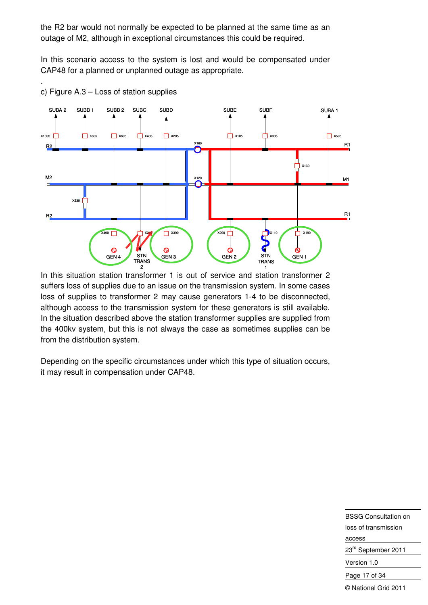the R2 bar would not normally be expected to be planned at the same time as an outage of M2, although in exceptional circumstances this could be required.

In this scenario access to the system is lost and would be compensated under CAP48 for a planned or unplanned outage as appropriate.



c) Figure A.3 – Loss of station supplies

.

In this situation station transformer 1 is out of service and station transformer 2 suffers loss of supplies due to an issue on the transmission system. In some cases loss of supplies to transformer 2 may cause generators 1-4 to be disconnected, although access to the transmission system for these generators is still available. In the situation described above the station transformer supplies are supplied from the 400kv system, but this is not always the case as sometimes supplies can be from the distribution system.

Depending on the specific circumstances under which this type of situation occurs, it may result in compensation under CAP48.

> BSSG Consultation on loss of transmission access 23<sup>rd</sup> September 2011 Version 1.0 Page 17 of 34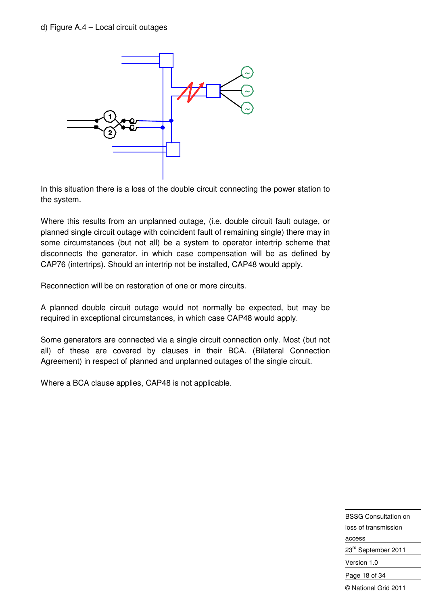

In this situation there is a loss of the double circuit connecting the power station to the system.

Where this results from an unplanned outage, (i.e. double circuit fault outage, or planned single circuit outage with coincident fault of remaining single) there may in some circumstances (but not all) be a system to operator intertrip scheme that disconnects the generator, in which case compensation will be as defined by CAP76 (intertrips). Should an intertrip not be installed, CAP48 would apply.

Reconnection will be on restoration of one or more circuits.

A planned double circuit outage would not normally be expected, but may be required in exceptional circumstances, in which case CAP48 would apply.

Some generators are connected via a single circuit connection only. Most (but not all) of these are covered by clauses in their BCA. (Bilateral Connection Agreement) in respect of planned and unplanned outages of the single circuit.

Where a BCA clause applies, CAP48 is not applicable.

BSSG Consultation on loss of transmission access 23<sup>rd</sup> September 2011 Version 1.0 Page 18 of 34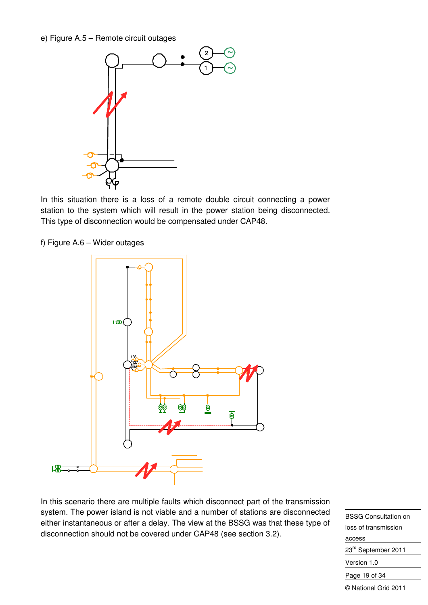e) Figure A.5 – Remote circuit outages



In this situation there is a loss of a remote double circuit connecting a power station to the system which will result in the power station being disconnected. This type of disconnection would be compensated under CAP48.

f) Figure A.6 – Wider outages



In this scenario there are multiple faults which disconnect part of the transmission system. The power island is not viable and a number of stations are disconnected either instantaneous or after a delay. The view at the BSSG was that these type of disconnection should not be covered under CAP48 (see section 3.2).

BSSG Consultation on loss of transmission access 23<sup>rd</sup> September 2011 Version 1.0 Page 19 of 34 © National Grid 2011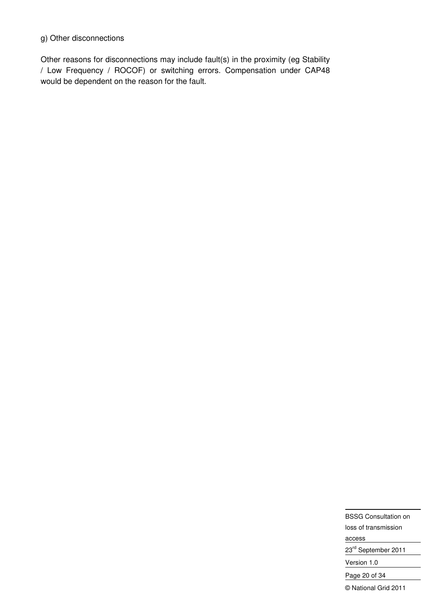#### g) Other disconnections

Other reasons for disconnections may include fault(s) in the proximity (eg Stability / Low Frequency / ROCOF) or switching errors. Compensation under CAP48 would be dependent on the reason for the fault.

> BSSG Consultation on loss of transmission access 23rd September 2011 Version 1.0 Page 20 of 34 © National Grid 2011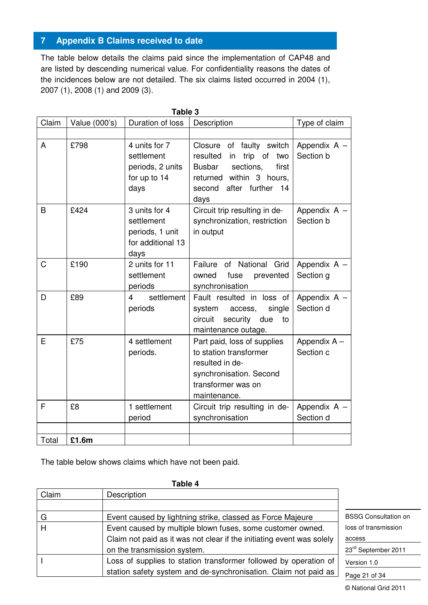## **7 Appendix B Claims received to date**

The table below details the claims paid since the implementation of CAP48 and are listed by descending numerical value. For confidentiality reasons the dates of the incidences below are not detailed. The six claims listed occurred in 2004 (1), 2007 (1), 2008 (1) and 2009 (3).

| Claim | Value (000's) | Duration of loss                                                            | Description                                                                                                                                                          | Type of claim             |
|-------|---------------|-----------------------------------------------------------------------------|----------------------------------------------------------------------------------------------------------------------------------------------------------------------|---------------------------|
| A     | £798          | 4 units for 7<br>settlement<br>periods, 2 units<br>for up to 14<br>days     | Closure of faulty switch<br>resulted<br>trip of<br>two<br>in<br>sections,<br>Busbar<br>first<br>within 3 hours,<br>returned<br>after further<br>second<br>14<br>days | Appendix A -<br>Section b |
| B     | £424          | 3 units for 4<br>settlement<br>periods, 1 unit<br>for additional 13<br>days | Circuit trip resulting in de-<br>synchronization, restriction<br>in output                                                                                           | Appendix A -<br>Section b |
| C     | £190          | 2 units for 11<br>settlement<br>periods                                     | Failure of National Grid<br>fuse<br>owned<br>prevented<br>synchronisation                                                                                            | Appendix A -<br>Section g |
| D     | £89           | settlement<br>4<br>periods                                                  | Fault resulted in loss of<br>system<br>single<br>access,<br>circuit<br>security<br>due<br>to<br>maintenance outage.                                                  | Appendix A -<br>Section d |
| E     | £75           | 4 settlement<br>periods.                                                    | Part paid, loss of supplies<br>to station transformer<br>resulted in de-<br>synchronisation. Second<br>transformer was on<br>maintenance.                            | Appendix A -<br>Section c |
| F     | £8            | 1 settlement<br>period                                                      | Circuit trip resulting in de-<br>synchronisation                                                                                                                     | Appendix A -<br>Section d |
| Total | £1.6m         |                                                                             |                                                                                                                                                                      |                           |

The table below shows claims which have not been paid.

| Claim | Description                                                           |                             |
|-------|-----------------------------------------------------------------------|-----------------------------|
|       |                                                                       |                             |
| G     | Event caused by lightning strike, classed as Force Majeure            | <b>BSSG Consultation on</b> |
| H     | Event caused by multiple blown fuses, some customer owned.            | loss of transmission        |
|       | Claim not paid as it was not clear if the initiating event was solely | access                      |
|       | on the transmission system.                                           | 23rd September 2011         |
|       | Loss of supplies to station transformer followed by operation of      | Version 1.0                 |
|       | station safety system and de-synchronisation. Claim not paid as       | Page 21 of 34               |

## **Table 4**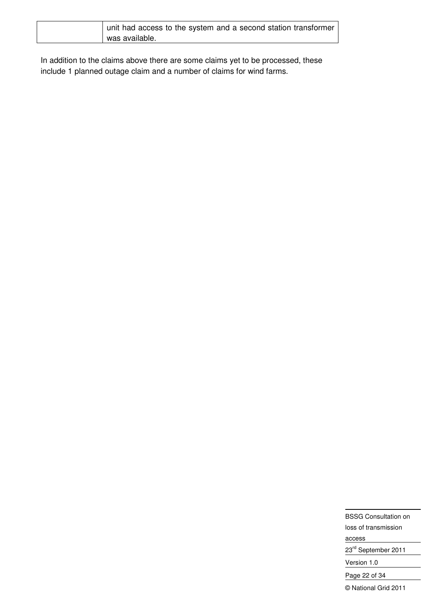| unit had access to the system and a second station transformer |
|----------------------------------------------------------------|
| was available.                                                 |

In addition to the claims above there are some claims yet to be processed, these include 1 planned outage claim and a number of claims for wind farms.

> BSSG Consultation on loss of transmission access 23rd September 2011 Version 1.0 Page 22 of 34 © National Grid 2011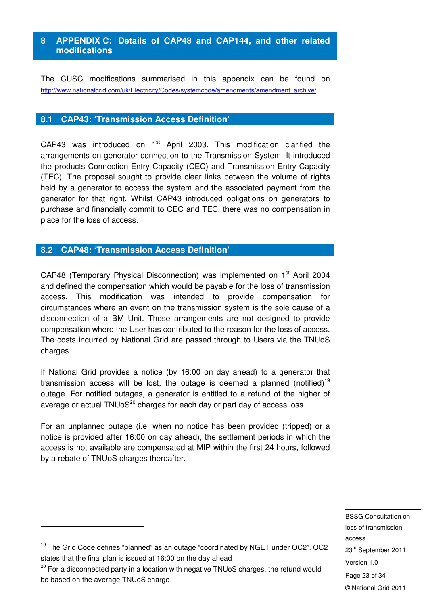## **8 APPENDIX C: Details of CAP48 and CAP144, and other related modifications**

The CUSC modifications summarised in this appendix can be found on http://www.nationalgrid.com/uk/Electricity/Codes/systemcode/amendments/amendment\_archive/.

#### **8.1 CAP43: 'Transmission Access Definition'**

CAP43 was introduced on 1<sup>st</sup> April 2003. This modification clarified the arrangements on generator connection to the Transmission System. It introduced the products Connection Entry Capacity (CEC) and Transmission Entry Capacity (TEC). The proposal sought to provide clear links between the volume of rights held by a generator to access the system and the associated payment from the generator for that right. Whilst CAP43 introduced obligations on generators to purchase and financially commit to CEC and TEC, there was no compensation in place for the loss of access.

## **8.2 CAP48: 'Transmission Access Definition'**

CAP48 (Temporary Physical Disconnection) was implemented on 1<sup>st</sup> April 2004 and defined the compensation which would be payable for the loss of transmission access. This modification was intended to provide compensation for circumstances where an event on the transmission system is the sole cause of a disconnection of a BM Unit. These arrangements are not designed to provide compensation where the User has contributed to the reason for the loss of access. The costs incurred by National Grid are passed through to Users via the TNUoS charges.

If National Grid provides a notice (by 16:00 on day ahead) to a generator that transmission access will be lost, the outage is deemed a planned (notified)<sup>19</sup> outage. For notified outages, a generator is entitled to a refund of the higher of average or actual  $TMUoS<sup>20</sup>$  charges for each day or part day of access loss.

For an unplanned outage (i.e. when no notice has been provided (tripped) or a notice is provided after 16:00 on day ahead), the settlement periods in which the access is not available are compensated at MIP within the first 24 hours, followed by a rebate of TNUoS charges thereafter.

> BSSG Consultation on loss of transmission access 23<sup>rd</sup> September 2011 Version 1.0 Page 23 of 34

-

<sup>&</sup>lt;sup>19</sup> The Grid Code defines "planned" as an outage "coordinated by NGET under OC2". OC2 states that the final plan is issued at 16:00 on the day ahead

 $20$  For a disconnected party in a location with negative TNUoS charges, the refund would be based on the average TNUoS charge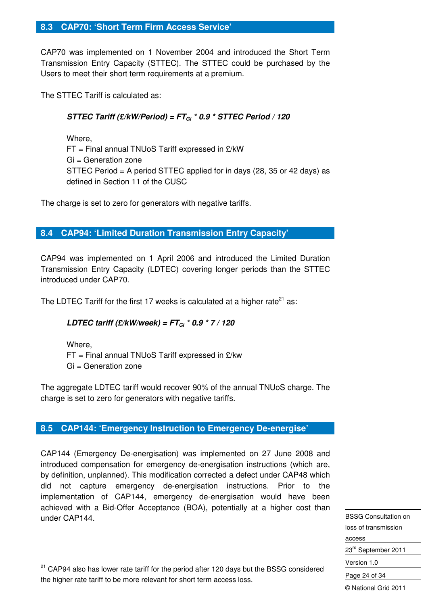### **8.3 CAP70: 'Short Term Firm Access Service'**

CAP70 was implemented on 1 November 2004 and introduced the Short Term Transmission Entry Capacity (STTEC). The STTEC could be purchased by the Users to meet their short term requirements at a premium.

The STTEC Tariff is calculated as:

## **STTEC Tariff (£/kW/Period) = FTGi \* 0.9 \* STTEC Period / 120**

 Where, FT = Final annual TNUoS Tariff expressed in £/kW Gi = Generation zone STTEC Period = A period STTEC applied for in days (28, 35 or 42 days) as defined in Section 11 of the CUSC

The charge is set to zero for generators with negative tariffs.

## **8.4 CAP94: 'Limited Duration Transmission Entry Capacity'**

CAP94 was implemented on 1 April 2006 and introduced the Limited Duration Transmission Entry Capacity (LDTEC) covering longer periods than the STTEC introduced under CAP70.

The LDTEC Tariff for the first 17 weeks is calculated at a higher rate<sup>21</sup> as:

## **LDTEC tariff (£/kW/week) = FTGi \* 0.9 \* 7 / 120**

Where, FT = Final annual TNUoS Tariff expressed in £/kw Gi = Generation zone

The aggregate LDTEC tariff would recover 90% of the annual TNUoS charge. The charge is set to zero for generators with negative tariffs.

#### **8.5 CAP144: 'Emergency Instruction to Emergency De-energise'**

CAP144 (Emergency De-energisation) was implemented on 27 June 2008 and introduced compensation for emergency de-energisation instructions (which are, by definition, unplanned). This modification corrected a defect under CAP48 which did not capture emergency de-energisation instructions. Prior to the implementation of CAP144, emergency de-energisation would have been achieved with a Bid-Offer Acceptance (BOA), potentially at a higher cost than under CAP144.

BSSG Consultation on loss of transmission access 23<sup>rd</sup> September 2011 Version 1.0 Page 24 of 34 © National Grid 2011

-

<sup>&</sup>lt;sup>21</sup> CAP94 also has lower rate tariff for the period after 120 days but the BSSG considered the higher rate tariff to be more relevant for short term access loss.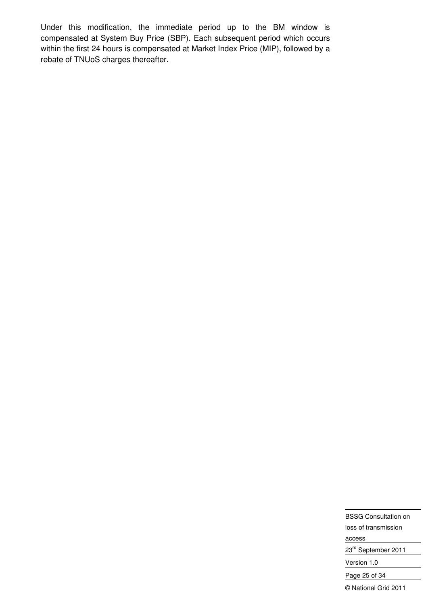Under this modification, the immediate period up to the BM window is compensated at System Buy Price (SBP). Each subsequent period which occurs within the first 24 hours is compensated at Market Index Price (MIP), followed by a rebate of TNUoS charges thereafter.

> BSSG Consultation on loss of transmission access 23rd September 2011 Version 1.0 Page 25 of 34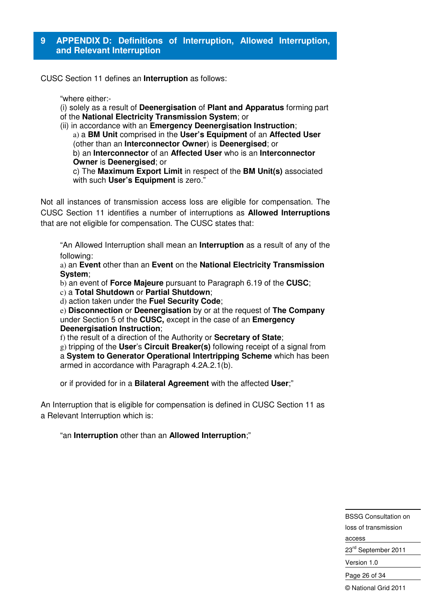CUSC Section 11 defines an **Interruption** as follows:

"where either:-

- (i) solely as a result of **Deenergisation** of **Plant and Apparatus** forming part of the **National Electricity Transmission System**; or
- (ii) in accordance with an **Emergency Deenergisation Instruction**;
	- a) a **BM Unit** comprised in the **User's Equipment** of an **Affected User**  (other than an **Interconnector Owner**) is **Deenergised**; or

b) an **Interconnector** of an **Affected User** who is an **Interconnector Owner** is **Deenergised**; or

c) The **Maximum Export Limit** in respect of the **BM Unit(s)** associated with such **User's Equipment** is zero."

Not all instances of transmission access loss are eligible for compensation. The CUSC Section 11 identifies a number of interruptions as **Allowed Interruptions** that are not eligible for compensation. The CUSC states that:

"An Allowed Interruption shall mean an **Interruption** as a result of any of the following:

a) an **Event** other than an **Event** on the **National Electricity Transmission System**;

b) an event of **Force Majeure** pursuant to Paragraph 6.19 of the **CUSC**;

c) a **Total Shutdown** or **Partial Shutdown**;

d) action taken under the **Fuel Security Code**;

e) **Disconnection** or **Deenergisation** by or at the request of **The Company**  under Section 5 of the **CUSC,** except in the case of an **Emergency Deenergisation Instruction**;

f) the result of a direction of the Authority or **Secretary of State**;

g) tripping of the **User**'s **Circuit Breaker(s)** following receipt of a signal from a **System to Generator Operational Intertripping Scheme** which has been armed in accordance with Paragraph 4.2A.2.1(b).

or if provided for in a **Bilateral Agreement** with the affected **User**;"

An Interruption that is eligible for compensation is defined in CUSC Section 11 as a Relevant Interruption which is:

"an **Interruption** other than an **Allowed Interruption**;"

BSSG Consultation on loss of transmission access 23<sup>rd</sup> September 2011

Version 1.0

Page 26 of 34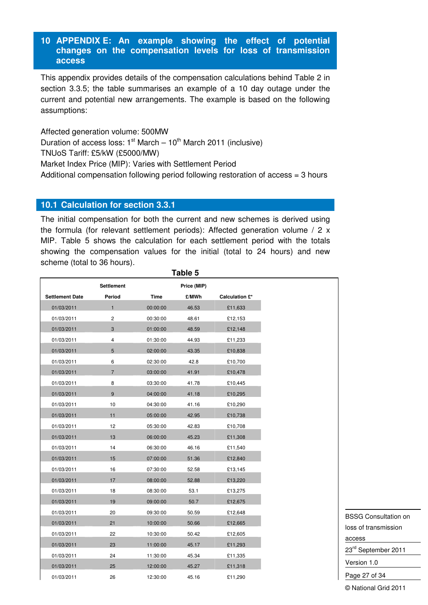#### **10 APPENDIX E: An example showing the effect of potential changes on the compensation levels for loss of transmission access**

This appendix provides details of the compensation calculations behind Table 2 in section 3.3.5; the table summarises an example of a 10 day outage under the current and potential new arrangements. The example is based on the following assumptions:

Affected generation volume: 500MW Duration of access loss:  $1<sup>st</sup> March – 10<sup>th</sup> March 2011 (inclusive)$ TNUoS Tariff: £5/kW (£5000/MW) Market Index Price (MIP): Varies with Settlement Period Additional compensation following period following restoration of access = 3 hours

#### **10.1 Calculation for section 3.3.1**

The initial compensation for both the current and new schemes is derived using the formula (for relevant settlement periods): Affected generation volume / 2 x MIP. Table 5 shows the calculation for each settlement period with the totals showing the compensation values for the initial (total to 24 hours) and new scheme (total to 36 hours).

**Table 5** 

|                        |                   |             | i abie p    |                       |
|------------------------|-------------------|-------------|-------------|-----------------------|
|                        | <b>Settlement</b> |             | Price (MIP) |                       |
| <b>Settlement Date</b> | Period            | <b>Time</b> | £/MWh       | <b>Calculation £*</b> |
| 01/03/2011             | $\mathbf{1}$      | 00:00:00    | 46.53       | £11,633               |
| 01/03/2011             | 2                 | 00:30:00    | 48.61       | £12,153               |
| 01/03/2011             | 3                 | 01:00:00    | 48.59       | £12,148               |
| 01/03/2011             | 4                 | 01:30:00    | 44.93       | £11,233               |
| 01/03/2011             | 5                 | 02:00:00    | 43.35       | £10,838               |
| 01/03/2011             | 6                 | 02:30:00    | 42.8        | £10,700               |
| 01/03/2011             | $\overline{7}$    | 03:00:00    | 41.91       | £10,478               |
| 01/03/2011             | 8                 | 03:30:00    | 41.78       | £10,445               |
| 01/03/2011             | 9                 | 04:00:00    | 41.18       | £10,295               |
| 01/03/2011             | 10                | 04:30:00    | 41.16       | £10,290               |
| 01/03/2011             | 11                | 05:00:00    | 42.95       | £10,738               |
| 01/03/2011             | 12                | 05:30:00    | 42.83       | £10,708               |
| 01/03/2011             | 13                | 06:00:00    | 45.23       | £11,308               |
| 01/03/2011             | 14                | 06:30:00    | 46.16       | £11,540               |
| 01/03/2011             | 15                | 07:00:00    | 51.36       | £12,840               |
| 01/03/2011             | 16                | 07:30:00    | 52.58       | £13,145               |
| 01/03/2011             | 17                | 08:00:00    | 52.88       | £13,220               |
| 01/03/2011             | 18                | 08:30:00    | 53.1        | £13,275               |
| 01/03/2011             | 19                | 09:00:00    | 50.7        | £12,675               |
| 01/03/2011             | 20                | 09:30:00    | 50.59       | £12,648               |
| 01/03/2011             | 21                | 10:00:00    | 50.66       | £12,665               |
| 01/03/2011             | 22                | 10:30:00    | 50.42       | £12,605               |
| 01/03/2011             | 23                | 11:00:00    | 45.17       | £11,293               |
| 01/03/2011             | 24                | 11:30:00    | 45.34       | £11,335               |
| 01/03/2011             | 25                | 12:00:00    | 45.27       | £11,318               |
| 01/03/2011             | 26                | 12:30:00    | 45.16       | £11,290               |

BSSG Consultation on loss of transmission access 23<sup>rd</sup> September 2011 Version 1.0 Page 27 of 34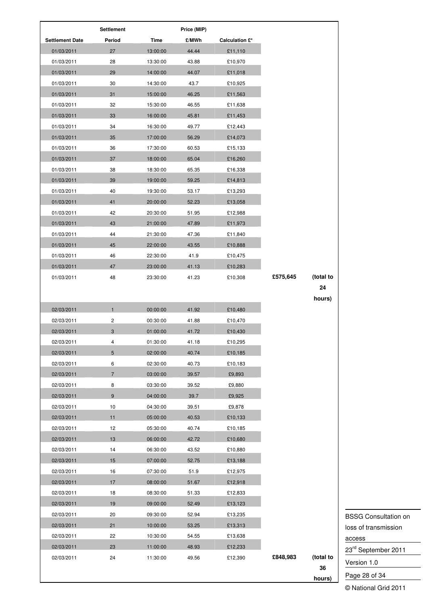|                        | <b>Settlement</b> |          | Price (MIP) |                       |          |           |
|------------------------|-------------------|----------|-------------|-----------------------|----------|-----------|
| <b>Settlement Date</b> | Period            | Time     | £/MWh       | <b>Calculation £*</b> |          |           |
| 01/03/2011             | 27                | 13:00:00 | 44.44       | £11,110               |          |           |
| 01/03/2011             | 28                | 13:30:00 | 43.88       | £10,970               |          |           |
| 01/03/2011             | 29                | 14:00:00 | 44.07       | £11,018               |          |           |
| 01/03/2011             | 30                | 14:30:00 | 43.7        | £10,925               |          |           |
| 01/03/2011             | 31                | 15:00:00 | 46.25       | £11,563               |          |           |
| 01/03/2011             | 32                | 15:30:00 | 46.55       | £11,638               |          |           |
| 01/03/2011             | 33                | 16:00:00 | 45.81       | £11,453               |          |           |
| 01/03/2011             | 34                | 16:30:00 | 49.77       | £12,443               |          |           |
| 01/03/2011             | 35                | 17:00:00 | 56.29       | £14,073               |          |           |
| 01/03/2011             | 36                | 17:30:00 | 60.53       | £15,133               |          |           |
| 01/03/2011             | 37                | 18:00:00 | 65.04       | £16,260               |          |           |
| 01/03/2011             | 38                | 18:30:00 | 65.35       | £16,338               |          |           |
| 01/03/2011             | 39                | 19:00:00 | 59.25       | £14,813               |          |           |
| 01/03/2011             | 40                | 19:30:00 | 53.17       | £13,293               |          |           |
| 01/03/2011             | 41                | 20:00:00 | 52.23       | £13,058               |          |           |
| 01/03/2011             | 42                | 20:30:00 | 51.95       | £12,988               |          |           |
| 01/03/2011             | 43                | 21:00:00 | 47.89       | £11,973               |          |           |
| 01/03/2011             | 44                | 21:30:00 | 47.36       | £11,840               |          |           |
|                        | 45                |          |             |                       |          |           |
| 01/03/2011             |                   | 22:00:00 | 43.55       | £10,888               |          |           |
| 01/03/2011             | 46                | 22:30:00 | 41.9        | £10,475               |          |           |
| 01/03/2011             | 47                | 23:00:00 | 41.13       | £10,283               |          |           |
| 01/03/2011             | 48                | 23:30:00 | 41.23       | £10,308               | £575,645 | (total to |
|                        |                   |          |             |                       |          | 24        |
|                        |                   |          |             |                       |          | hours)    |
| 02/03/2011             | $\mathbf{1}$      | 00:00:00 | 41.92       | £10,480               |          |           |
| 02/03/2011             | 2                 | 00:30:00 | 41.88       | £10,470               |          |           |
| 02/03/2011             | 3                 | 01:00:00 | 41.72       | £10,430               |          |           |
| 02/03/2011             |                   | 01:30:00 | 41.18       | £10,295               |          |           |
| 02/03/2011             | 5                 | 02:00:00 | 40.74       | £10,185               |          |           |
| 02/03/2011             | 6                 | 02:30:00 | 40.73       | £10,183               |          |           |
| 02/03/2011             | $\overline{7}$    | 03:00:00 | 39.57       | £9,893                |          |           |
| 02/03/2011             | 8                 | 03:30:00 | 39.52       | £9,880                |          |           |
| 02/03/2011             | 9                 | 04:00:00 | 39.7        | £9,925                |          |           |
| 02/03/2011             | 10                | 04:30:00 | 39.51       | £9,878                |          |           |
| 02/03/2011             | 11                | 05:00:00 | 40.53       | £10,133               |          |           |
| 02/03/2011             | 12                | 05:30:00 | 40.74       | £10,185               |          |           |
| 02/03/2011             | 13                | 06:00:00 | 42.72       | £10,680               |          |           |
| 02/03/2011             | 14                | 06:30:00 | 43.52       | £10,880               |          |           |
| 02/03/2011             | 15                | 07:00:00 | 52.75       | £13,188               |          |           |
| 02/03/2011             | 16                | 07:30:00 | 51.9        | £12,975               |          |           |
| 02/03/2011             | 17                | 08:00:00 | 51.67       | £12,918               |          |           |
| 02/03/2011             | 18                | 08:30:00 | 51.33       | £12,833               |          |           |
| 02/03/2011             | 19                | 09:00:00 | 52.49       | £13,123               |          |           |
|                        |                   |          |             |                       |          |           |
| 02/03/2011             | 20                | 09:30:00 | 52.94       | £13,235               |          |           |
| 02/03/2011             | 21                | 10:00:00 | 53.25       | £13,313               |          |           |
| 02/03/2011             | 22                | 10:30:00 | 54.55       | £13,638               |          |           |
| 02/03/2011             | 23                | 11:00:00 | 48.93       | £12,233               |          |           |
| 02/03/2011             | 24                | 11:30:00 | 49.56       | £12,390               | £848,983 | (total to |
|                        |                   |          |             |                       |          | 36        |
|                        |                   |          |             |                       |          | hours)    |

BSSG Consultation on loss of transmission access 23<sup>rd</sup> September 2011 Version 1.0 Page 28 of 34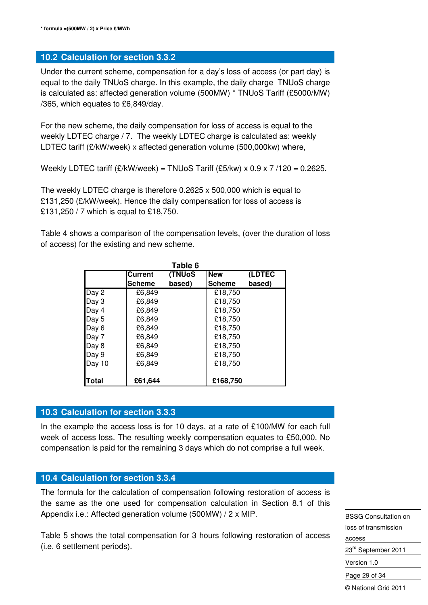## **10.2 Calculation for section 3.3.2**

Under the current scheme, compensation for a day's loss of access (or part day) is equal to the daily TNUoS charge. In this example, the daily charge TNUoS charge is calculated as: affected generation volume (500MW) \* TNUoS Tariff (£5000/MW) /365, which equates to £6,849/day.

For the new scheme, the daily compensation for loss of access is equal to the weekly LDTEC charge / 7. The weekly LDTEC charge is calculated as: weekly LDTEC tariff (£/kW/week) x affected generation volume (500,000kw) where,

Weekly LDTEC tariff  $(E/KW/week) = TNUoS$  Tariff  $(E5/kw) \times 0.9 \times 7/120 = 0.2625$ .

The weekly LDTEC charge is therefore 0.2625 x 500,000 which is equal to £131,250 (£/kW/week). Hence the daily compensation for loss of access is £131,250 / 7 which is equal to £18,750.

Table 4 shows a comparison of the compensation levels, (over the duration of loss of access) for the existing and new scheme.

|        |                | Table 6        |               |        |
|--------|----------------|----------------|---------------|--------|
|        | <b>Current</b> | <b>(TNUoS)</b> | <b>New</b>    | (LDTEC |
|        | <b>Scheme</b>  | based)         | <b>Scheme</b> | based) |
| Day 2  | £6,849         |                | £18,750       |        |
| Day 3  | £6,849         |                | £18,750       |        |
| Day 4  | £6.849         |                | £18,750       |        |
| Day 5  | £6,849         |                | £18,750       |        |
| Day 6  | £6,849         |                | £18,750       |        |
| Day 7  | £6,849         |                | £18,750       |        |
| Day 8  | £6,849         |                | £18,750       |        |
| Day 9  | £6,849         |                | £18,750       |        |
| Day 10 | £6.849         |                | £18.750       |        |
|        |                |                |               |        |
| lTotal | £61,644        |                | £168,750      |        |

## **10.3 Calculation for section 3.3.3**

In the example the access loss is for 10 days, at a rate of  $£100/MW$  for each full week of access loss. The resulting weekly compensation equates to £50,000. No compensation is paid for the remaining 3 days which do not comprise a full week.

## **10.4 Calculation for section 3.3.4**

The formula for the calculation of compensation following restoration of access is the same as the one used for compensation calculation in Section 8.1 of this Appendix i.e.: Affected generation volume (500MW) / 2 x MIP.

Table 5 shows the total compensation for 3 hours following restoration of access (i.e. 6 settlement periods).

BSSG Consultation on loss of transmission access 23<sup>rd</sup> September 2011 Version 1.0

Page 29 of 34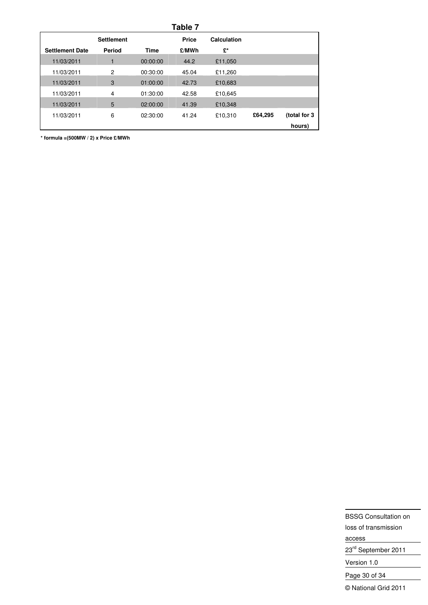|              |         |             | Table 7 |          |                   |                        |
|--------------|---------|-------------|---------|----------|-------------------|------------------------|
|              |         | Calculation | Price   |          | <b>Settlement</b> |                        |
|              |         | £*          | £/MWh   | Time     | Period            | <b>Settlement Date</b> |
|              |         | £11,050     | 44.2    | 00:00:00 |                   | 11/03/2011             |
|              |         | £11,260     | 45.04   | 00:30:00 | 2                 | 11/03/2011             |
|              |         | £10,683     | 42.73   | 01:00:00 | 3                 | 11/03/2011             |
|              |         | £10.645     | 42.58   | 01:30:00 | 4                 | 11/03/2011             |
|              |         | £10,348     | 41.39   | 02:00:00 | 5                 | 11/03/2011             |
| (total for 3 | £64,295 | £10.310     | 41.24   | 02:30:00 | 6                 | 11/03/2011             |
| hours)       |         |             |         |          |                   |                        |

**\* formula =(500MW / 2) x Price £/MWh** 

BSSG Consultation on loss of transmission access 23<sup>rd</sup> September 2011 Version 1.0 Page 30 of 34 © National Grid 2011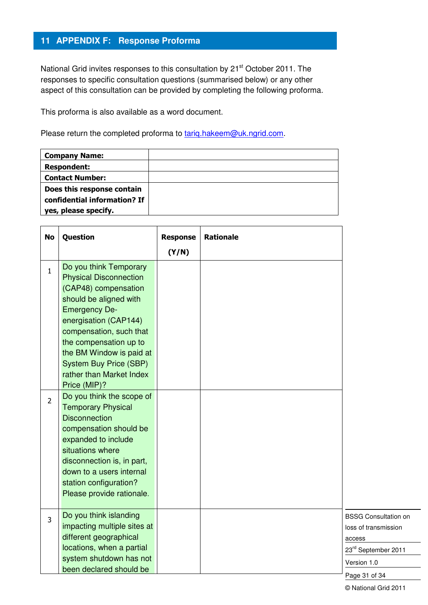## **11 APPENDIX F: Response Proforma**

National Grid invites responses to this consultation by 21<sup>st</sup> October 2011. The responses to specific consultation questions (summarised below) or any other aspect of this consultation can be provided by completing the following proforma.

This proforma is also available as a word document.

Please return the completed proforma to tariq.hakeem@uk.ngrid.com.

| <b>Company Name:</b>         |  |
|------------------------------|--|
| <b>Respondent:</b>           |  |
| <b>Contact Number:</b>       |  |
| Does this response contain   |  |
| confidential information? If |  |
| yes, please specify.         |  |

| <b>No</b>      | Question                                                                                                                                                                                                                                                                                                                                              | <b>Response</b> | <b>Rationale</b> |                                                                                                                      |
|----------------|-------------------------------------------------------------------------------------------------------------------------------------------------------------------------------------------------------------------------------------------------------------------------------------------------------------------------------------------------------|-----------------|------------------|----------------------------------------------------------------------------------------------------------------------|
|                |                                                                                                                                                                                                                                                                                                                                                       | (Y/N)           |                  |                                                                                                                      |
| $\mathbf{1}$   | Do you think Temporary<br><b>Physical Disconnection</b><br>(CAP48) compensation<br>should be aligned with<br><b>Emergency De-</b><br>energisation (CAP144)<br>compensation, such that<br>the compensation up to<br>the BM Window is paid at<br><b>System Buy Price (SBP)</b><br>rather than Market Index<br>Price (MIP)?<br>Do you think the scope of |                 |                  |                                                                                                                      |
| $\overline{2}$ | <b>Temporary Physical</b><br><b>Disconnection</b><br>compensation should be<br>expanded to include<br>situations where<br>disconnection is, in part,<br>down to a users internal<br>station configuration?<br>Please provide rationale.                                                                                                               |                 |                  |                                                                                                                      |
| 3              | Do you think islanding<br>impacting multiple sites at<br>different geographical<br>locations, when a partial<br>system shutdown has not<br>been declared should be                                                                                                                                                                                    |                 |                  | <b>BSSG Consultation on</b><br>loss of transmission<br>access<br>23rd September 2011<br>Version 1.0<br>Page 31 of 34 |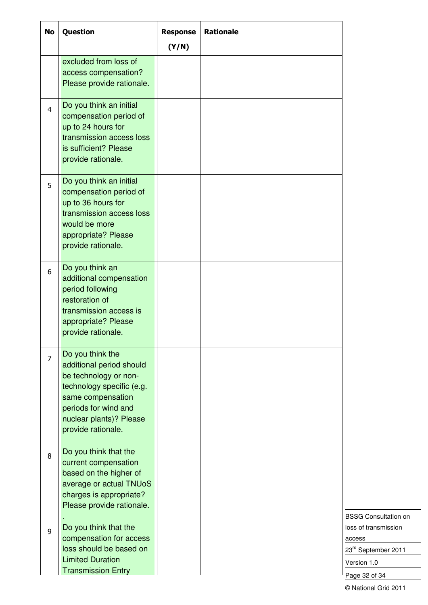| <b>No</b>      | Question                                                                                                                                                                                         | <b>Response</b> | <b>Rationale</b> |                                                                                       |
|----------------|--------------------------------------------------------------------------------------------------------------------------------------------------------------------------------------------------|-----------------|------------------|---------------------------------------------------------------------------------------|
|                | excluded from loss of<br>access compensation?<br>Please provide rationale.                                                                                                                       | (Y/N)           |                  |                                                                                       |
| $\overline{4}$ | Do you think an initial<br>compensation period of<br>up to 24 hours for<br>transmission access loss<br>is sufficient? Please<br>provide rationale.                                               |                 |                  |                                                                                       |
| 5              | Do you think an initial<br>compensation period of<br>up to 36 hours for<br>transmission access loss<br>would be more<br>appropriate? Please<br>provide rationale.                                |                 |                  |                                                                                       |
| 6              | Do you think an<br>additional compensation<br>period following<br>restoration of<br>transmission access is<br>appropriate? Please<br>provide rationale.                                          |                 |                  |                                                                                       |
| $\overline{7}$ | Do you think the<br>additional period should<br>be technology or non-<br>technology specific (e.g.<br>same compensation<br>periods for wind and<br>nuclear plants)? Please<br>provide rationale. |                 |                  |                                                                                       |
| 8              | Do you think that the<br>current compensation<br>based on the higher of<br>average or actual TNUoS<br>charges is appropriate?<br>Please provide rationale.                                       |                 |                  | <b>BSSG Consultation on</b>                                                           |
| $\overline{9}$ | Do you think that the<br>compensation for access<br>loss should be based on<br><b>Limited Duration</b><br><b>Transmission Entry</b>                                                              |                 |                  | loss of transmission<br>access<br>23rd September 2011<br>Version 1.0<br>Page 32 of 34 |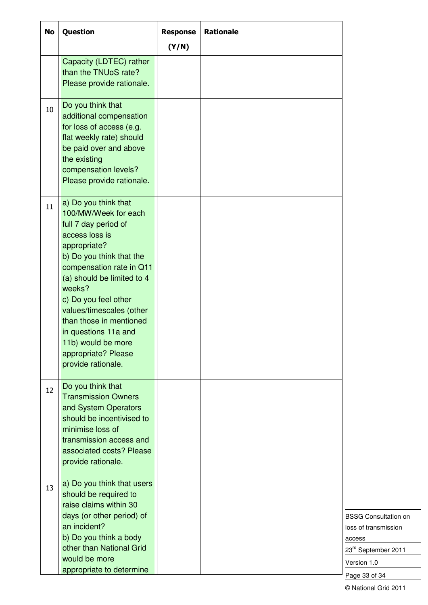| <b>No</b> | Question                                                                                                                                                                                                                                                                                                                                                                         | <b>Response</b> | <b>Rationale</b> |                                                                                                                      |
|-----------|----------------------------------------------------------------------------------------------------------------------------------------------------------------------------------------------------------------------------------------------------------------------------------------------------------------------------------------------------------------------------------|-----------------|------------------|----------------------------------------------------------------------------------------------------------------------|
|           | Capacity (LDTEC) rather<br>than the TNUoS rate?<br>Please provide rationale.                                                                                                                                                                                                                                                                                                     | (Y/N)           |                  |                                                                                                                      |
| 10        | Do you think that<br>additional compensation<br>for loss of access (e.g.<br>flat weekly rate) should<br>be paid over and above<br>the existing<br>compensation levels?<br>Please provide rationale.                                                                                                                                                                              |                 |                  |                                                                                                                      |
| 11        | a) Do you think that<br>100/MW/Week for each<br>full 7 day period of<br>access loss is<br>appropriate?<br>b) Do you think that the<br>compensation rate in Q11<br>(a) should be limited to 4<br>weeks?<br>c) Do you feel other<br>values/timescales (other<br>than those in mentioned<br>in questions 11a and<br>11b) would be more<br>appropriate? Please<br>provide rationale. |                 |                  |                                                                                                                      |
| 12        | Do you think that<br><b>Transmission Owners</b><br>and System Operators<br>should be incentivised to<br>minimise loss of<br>transmission access and<br>associated costs? Please<br>provide rationale.                                                                                                                                                                            |                 |                  |                                                                                                                      |
| 13        | a) Do you think that users<br>should be required to<br>raise claims within 30<br>days (or other period) of<br>an incident?<br>b) Do you think a body<br>other than National Grid<br>would be more<br>appropriate to determine                                                                                                                                                    |                 |                  | <b>BSSG Consultation on</b><br>loss of transmission<br>access<br>23rd September 2011<br>Version 1.0<br>Page 33 of 34 |